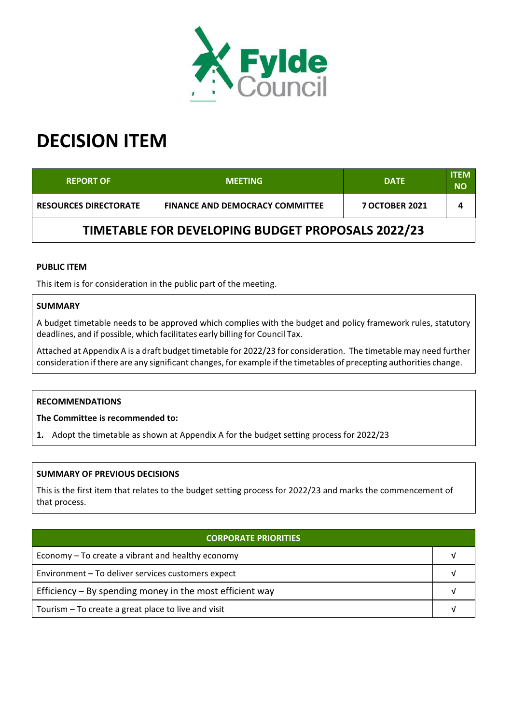

# **DECISION ITEM**

| <b>REPORT OF</b>                                  | <b>MEETING</b>                         | <b>DATE</b>           | <b>ITEM</b><br><b>NO</b> |  |  |
|---------------------------------------------------|----------------------------------------|-----------------------|--------------------------|--|--|
| <b>RESOURCES DIRECTORATE</b>                      | <b>FINANCE AND DEMOCRACY COMMITTEE</b> | <b>7 OCTOBER 2021</b> | 4                        |  |  |
| TIMETABLE FOR DEVELOPING BUDGET PROPOSALS 2022/23 |                                        |                       |                          |  |  |

#### **PUBLIC ITEM**

This item is for consideration in the public part of the meeting.

## **SUMMARY**

A budget timetable needs to be approved which complies with the budget and policy framework rules, statutory deadlines, and if possible, which facilitates early billing for Council Tax.

Attached at Appendix A is a draft budget timetable for 2022/23 for consideration. The timetable may need further consideration if there are any significant changes, for example if the timetables of precepting authorities change.

## **RECOMMENDATIONS**

**The Committee is recommended to:**

**1.** Adopt the timetable as shown at Appendix A for the budget setting process for 2022/23

#### **SUMMARY OF PREVIOUS DECISIONS**

This is the first item that relates to the budget setting process for 2022/23 and marks the commencement of that process.

| <b>CORPORATE PRIORITIES</b>                                |  |  |
|------------------------------------------------------------|--|--|
| Economy – To create a vibrant and healthy economy          |  |  |
| Environment - To deliver services customers expect         |  |  |
| Efficiency $-$ By spending money in the most efficient way |  |  |
| Tourism - To create a great place to live and visit        |  |  |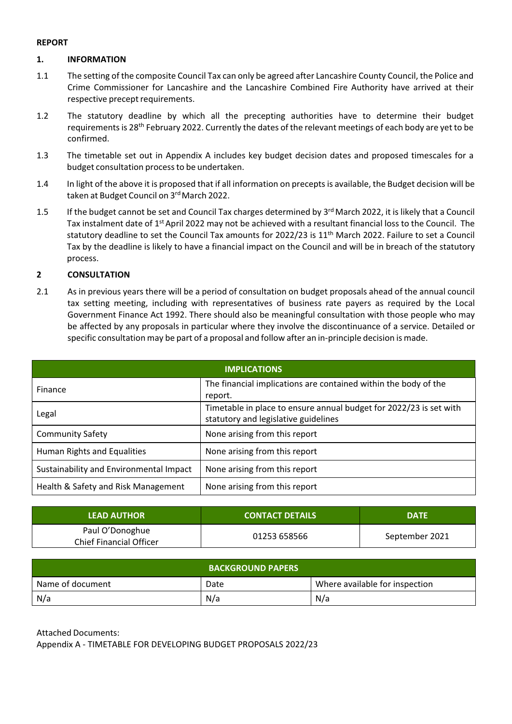#### **REPORT**

#### **1. INFORMATION**

- 1.1 The setting of the composite Council Tax can only be agreed after Lancashire County Council, the Police and Crime Commissioner for Lancashire and the Lancashire Combined Fire Authority have arrived at their respective precept requirements.
- 1.2 The statutory deadline by which all the precepting authorities have to determine their budget requirements is 28<sup>th</sup> February 2022. Currently the dates of the relevant meetings of each body are yet to be confirmed.
- 1.3 The timetable set out in Appendix A includes key budget decision dates and proposed timescales for a budget consultation processto be undertaken.
- 1.4 In light of the above it is proposed that if all information on precepts is available, the Budget decision will be taken at Budget Council on 3rd March 2022.
- 1.5 If the budget cannot be set and Council Tax charges determined by 3<sup>rd</sup> March 2022, it is likely that a Council Tax instalment date of 1<sup>st</sup> April 2022 may not be achieved with a resultant financial loss to the Council. The statutory deadline to set the Council Tax amounts for 2022/23 is 11<sup>th</sup> March 2022. Failure to set a Council Tax by the deadline is likely to have a financial impact on the Council and will be in breach of the statutory process.

#### **2 CONSULTATION**

2.1 As in previous years there will be a period of consultation on budget proposals ahead of the annual council tax setting meeting, including with representatives of business rate payers as required by the Local Government Finance Act 1992. There should also be meaningful consultation with those people who may be affected by any proposals in particular where they involve the discontinuance of a service. Detailed or specific consultation may be part of a proposal and follow after an in‐principle decision is made.

| <b>IMPLICATIONS</b>                     |                                                                                                            |  |
|-----------------------------------------|------------------------------------------------------------------------------------------------------------|--|
| Finance                                 | The financial implications are contained within the body of the<br>report.                                 |  |
| Legal                                   | Timetable in place to ensure annual budget for 2022/23 is set with<br>statutory and legislative guidelines |  |
| <b>Community Safety</b>                 | None arising from this report                                                                              |  |
| Human Rights and Equalities             | None arising from this report                                                                              |  |
| Sustainability and Environmental Impact | None arising from this report                                                                              |  |
| Health & Safety and Risk Management     | None arising from this report                                                                              |  |

| <b>LEAD AUTHOR</b>                                | <b>CONTACT DETAILS</b> | <b>DATE</b>    |
|---------------------------------------------------|------------------------|----------------|
| Paul O'Donoghue<br><b>Chief Financial Officer</b> | 01253 658566           | September 2021 |

|                  | <b>BACKGROUND PAPERS</b> |                                |
|------------------|--------------------------|--------------------------------|
| Name of document | Date                     | Where available for inspection |
| N/a              | N/a                      | N/a                            |

Attached Documents: Appendix A ‐ TIMETABLE FOR DEVELOPING BUDGET PROPOSALS 2022/23